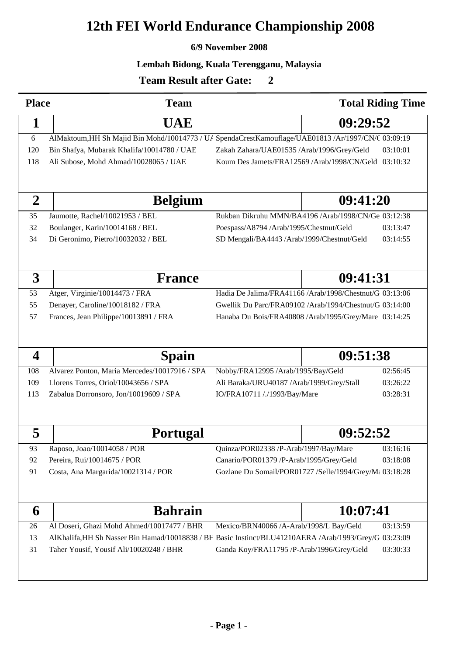### **6/9 November 2008**

### **Lembah Bidong, Kuala Terengganu, Malaysia**

500  $\overline{0}$ 

| <b>Place</b>            | <b>Team</b>                                                                                         |                                                                                                        | <b>Total Riding Time</b>                                |
|-------------------------|-----------------------------------------------------------------------------------------------------|--------------------------------------------------------------------------------------------------------|---------------------------------------------------------|
| 1                       | <b>UAE</b>                                                                                          | 09:29:52                                                                                               |                                                         |
| 6                       | AlMaktoum, HH Sh Majid Bin Mohd/10014773 / U/ SpendaCrestKamouflage/UAE01813 /Ar/1997/CN/( 03:09:19 |                                                                                                        |                                                         |
| 120                     | Bin Shafya, Mubarak Khalifa/10014780 / UAE                                                          | Zakah Zahara/UAE01535 /Arab/1996/Grey/Geld                                                             | 03:10:01                                                |
| 118                     | Ali Subose, Mohd Ahmad/10028065 / UAE                                                               |                                                                                                        | Koum Des Jamets/FRA12569 /Arab/1998/CN/Geld 03:10:32    |
|                         |                                                                                                     |                                                                                                        |                                                         |
| $\overline{2}$          | <b>Belgium</b>                                                                                      |                                                                                                        | 09:41:20                                                |
| 35                      | Jaumotte, Rachel/10021953 / BEL                                                                     |                                                                                                        | Rukban Dikruhu MMN/BA4196 /Arab/1998/CN/Ge 03:12:38     |
| 32                      | Boulanger, Karin/10014168 / BEL                                                                     | Poespass/A8794 /Arab/1995/Chestnut/Geld                                                                | 03:13:47                                                |
| 34                      | Di Geronimo, Pietro/10032032 / BEL                                                                  | SD Mengali/BA4443 /Arab/1999/Chestnut/Geld                                                             | 03:14:55                                                |
|                         |                                                                                                     |                                                                                                        |                                                         |
| 3                       | <b>France</b>                                                                                       |                                                                                                        | 09:41:31                                                |
| 53                      | Atger, Virginie/10014473 / FRA                                                                      |                                                                                                        | Hadia De Jalima/FRA41166 /Arab/1998/Chestnut/G 03:13:06 |
| 55                      | Denayer, Caroline/10018182 / FRA                                                                    | Gwellik Du Parc/FRA09102 /Arab/1994/Chestnut/G 03:14:00                                                |                                                         |
| 57                      | Frances, Jean Philippe/10013891 / FRA                                                               |                                                                                                        | Hanaba Du Bois/FRA40808 /Arab/1995/Grey/Mare 03:14:25   |
|                         |                                                                                                     |                                                                                                        |                                                         |
| $\overline{\mathbf{4}}$ | <b>Spain</b>                                                                                        |                                                                                                        | 09:51:38                                                |
| 108                     | Alvarez Ponton, Maria Mercedes/10017916 / SPA                                                       | Nobby/FRA12995 /Arab/1995/Bay/Geld                                                                     | 02:56:45                                                |
| 109                     | Llorens Torres, Oriol/10043656 / SPA                                                                | Ali Baraka/URU40187 /Arab/1999/Grey/Stall                                                              | 03:26:22                                                |
| 113                     | Zabalua Dorronsoro, Jon/10019609 / SPA                                                              | 03:28:31<br>IO/FRA10711 /./1993/Bay/Mare                                                               |                                                         |
|                         |                                                                                                     |                                                                                                        |                                                         |
| 5                       | <b>Portugal</b>                                                                                     |                                                                                                        | 09:52:52                                                |
| 93                      | Raposo, Joao/10014058 / POR                                                                         | Quinza/POR02338 /P-Arab/1997/Bay/Mare                                                                  | 03:16:16                                                |
| 92                      | Pereira, Rui/10014675 / POR                                                                         | Canario/POR01379 /P-Arab/1995/Grey/Geld                                                                | 03:18:08                                                |
| 91                      | Costa, Ana Margarida/10021314 / POR                                                                 | Gozlane Du Somail/POR01727 /Selle/1994/Grey/M: 03:18:28                                                |                                                         |
|                         |                                                                                                     |                                                                                                        |                                                         |
| 6                       | <b>Bahrain</b>                                                                                      |                                                                                                        | 10:07:41                                                |
| 26                      | Al Doseri, Ghazi Mohd Ahmed/10017477 / BHR                                                          | Mexico/BRN40066 /A-Arab/1998/L Bay/Geld                                                                | 03:13:59                                                |
| 13                      |                                                                                                     | AlKhalifa, HH Sh Nasser Bin Hamad/10018838 / BF Basic Instinct/BLU41210AERA /Arab/1993/Grey/G 03:23:09 |                                                         |
| 31                      | Taher Yousif, Yousif Ali/10020248 / BHR                                                             | Ganda Koy/FRA11795 /P-Arab/1996/Grey/Geld                                                              | 03:30:33                                                |
|                         |                                                                                                     |                                                                                                        |                                                         |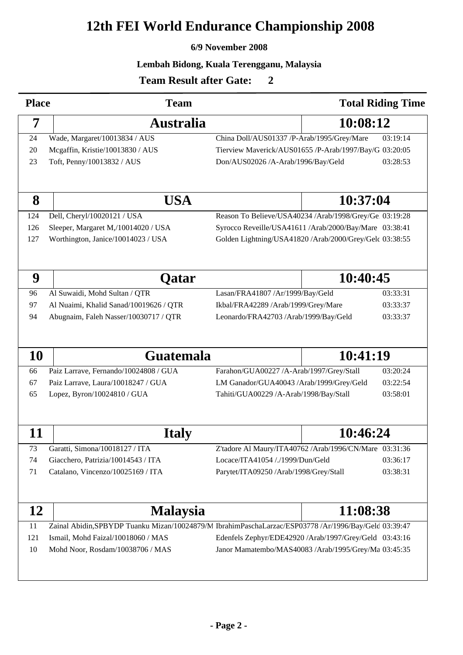### **6/9 November 2008**

### **Lembah Bidong, Kuala Terengganu, Malaysia**

500  $\overline{0}$ 

| <b>Place</b> | <b>Team</b>                            |                                                                                                       | <b>Total Riding Time</b> |
|--------------|----------------------------------------|-------------------------------------------------------------------------------------------------------|--------------------------|
| 7            | <b>Australia</b>                       | 10:08:12                                                                                              |                          |
| 24           | Wade, Margaret/10013834 / AUS          | 03:19:14<br>China Doll/AUS01337 /P-Arab/1995/Grey/Mare                                                |                          |
| 20           | Mcgaffin, Kristie/10013830 / AUS       | Tierview Maverick/AUS01655 /P-Arab/1997/Bay/G 03:20:05                                                |                          |
| 23           | Toft, Penny/10013832 / AUS             | Don/AUS02026 /A-Arab/1996/Bay/Geld                                                                    | 03:28:53                 |
|              |                                        |                                                                                                       |                          |
| 8            | <b>USA</b>                             | 10:37:04                                                                                              |                          |
| 124          | Dell, Cheryl/10020121 / USA            | Reason To Believe/USA40234 /Arab/1998/Grey/Ge 03:19:28                                                |                          |
| 126          | Sleeper, Margaret M,/10014020 / USA    | Syrocco Reveille/USA41611 /Arab/2000/Bay/Mare 03:38:41                                                |                          |
| 127          | Worthington, Janice/10014023 / USA     | Golden Lightning/USA41820 /Arab/2000/Grey/Gelc 03:38:55                                               |                          |
|              |                                        |                                                                                                       |                          |
| 9            | Qatar                                  | 10:40:45                                                                                              |                          |
| 96           | Al Suwaidi, Mohd Sultan / QTR          | Lasan/FRA41807 /Ar/1999/Bay/Geld                                                                      | 03:33:31                 |
| 97           | Al Nuaimi, Khalid Sanad/10019626 / QTR | Ikbal/FRA42289 /Arab/1999/Grey/Mare                                                                   | 03:33:37                 |
| 94           | Abugnaim, Faleh Nasser/10030717 / QTR  | Leonardo/FRA42703 /Arab/1999/Bay/Geld                                                                 | 03:33:37                 |
|              |                                        |                                                                                                       |                          |
| 10           | <b>Guatemala</b>                       | 10:41:19                                                                                              |                          |
| 66           | Paiz Larrave, Fernando/10024808 / GUA  | Farahon/GUA00227 /A-Arab/1997/Grey/Stall                                                              | 03:20:24                 |
| 67           | Paiz Larrave, Laura/10018247 / GUA     | LM Ganador/GUA40043 /Arab/1999/Grey/Geld<br>03:22:54                                                  |                          |
| 65           | Lopez, Byron/10024810 / GUA            | 03:58:01<br>Tahiti/GUA00229 /A-Arab/1998/Bay/Stall                                                    |                          |
|              |                                        |                                                                                                       |                          |
| 11           | <b>Italy</b>                           | 10:46:24                                                                                              |                          |
| 73           | Garatti, Simona/10018127 / ITA         | Z'tadore Al Maury/ITA40762 /Arab/1996/CN/Mare 03:31:36                                                |                          |
| 74           | Giacchero, Patrizia/10014543 / ITA     | Locace/ITA41054 /./1999/Dun/Geld                                                                      | 03:36:17                 |
| 71           | Catalano, Vincenzo/10025169 / ITA      | Parytet/ITA09250 /Arab/1998/Grey/Stall                                                                | 03:38:31                 |
|              |                                        |                                                                                                       |                          |
| 12           | <b>Malaysia</b>                        | 11:08:38                                                                                              |                          |
| 11           |                                        | Zainal Abidin, SPBYDP Tuanku Mizan/10024879/M IbrahimPaschaLarzac/ESP03778 /Ar/1996/Bay/Gelc 03:39:47 |                          |
| 121          | Ismail, Mohd Faizal/10018060 / MAS     | Edenfels Zephyr/EDE42920 /Arab/1997/Grey/Geld 03:43:16                                                |                          |
| 10           | Mohd Noor, Rosdam/10038706 / MAS       | Janor Mamatembo/MAS40083 /Arab/1995/Grey/Ma 03:45:35                                                  |                          |
|              |                                        |                                                                                                       |                          |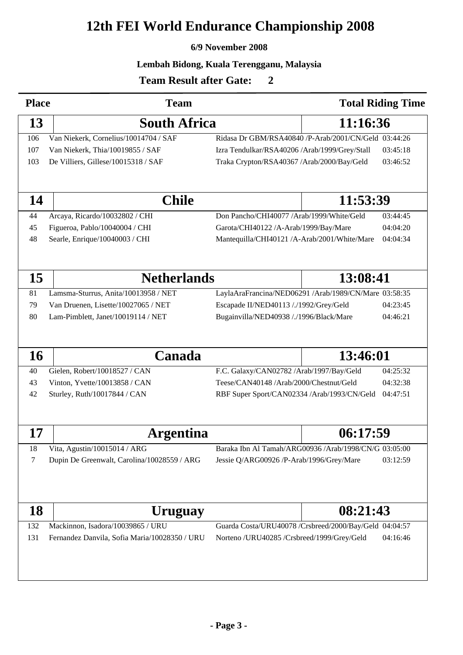### **6/9 November 2008**

### **Lembah Bidong, Kuala Terengganu, Malaysia**

500  $\overline{0}$ 

| <b>Place</b> | <b>Team</b>                                                   |                                                                                        |          | <b>Total Riding Time</b> |
|--------------|---------------------------------------------------------------|----------------------------------------------------------------------------------------|----------|--------------------------|
| 13           | <b>South Africa</b>                                           | 11:16:36                                                                               |          |                          |
| 106          | Van Niekerk, Cornelius/10014704 / SAF                         | Ridasa Dr GBM/RSA40840 /P-Arab/2001/CN/Geld 03:44:26                                   |          |                          |
| 107          | Van Niekerk, Thia/10019855 / SAF                              | Izra Tendulkar/RSA40206 /Arab/1999/Grey/Stall                                          |          | 03:45:18                 |
| 103          | De Villiers, Gillese/10015318 / SAF                           | Traka Crypton/RSA40367 /Arab/2000/Bay/Geld                                             |          | 03:46:52                 |
|              |                                                               |                                                                                        |          |                          |
| 14           | <b>Chile</b>                                                  |                                                                                        | 11:53:39 |                          |
| 44           | Arcaya, Ricardo/10032802 / CHI                                | Don Pancho/CHI40077 /Arab/1999/White/Geld                                              |          | 03:44:45                 |
| 45           | Figueroa, Pablo/10040004 / CHI                                | Garota/CHI40122 /A-Arab/1999/Bay/Mare                                                  |          | 04:04:20                 |
| 48           | Searle, Enrique/10040003 / CHI                                | Mantequilla/CHI40121 /A-Arab/2001/White/Mare                                           |          | 04:04:34                 |
|              |                                                               |                                                                                        |          |                          |
| 15           | <b>Netherlands</b>                                            |                                                                                        | 13:08:41 |                          |
| 81           | Lamsma-Sturrus, Anita/10013958 / NET                          | LaylaAraFrancina/NED06291 /Arab/1989/CN/Mare 03:58:35                                  |          |                          |
| 79           | Van Druenen, Lisette/10027065 / NET                           | Escapade II/NED40113 /./1992/Grey/Geld                                                 |          | 04:23:45                 |
| 80           | Lam-Pimblett, Janet/10019114 / NET                            | Bugainvilla/NED40938 /./1996/Black/Mare                                                |          | 04:46:21                 |
| 16           | Canada                                                        |                                                                                        | 13:46:01 |                          |
| 40           | Gielen, Robert/10018527 / CAN                                 | F.C. Galaxy/CAN02782 /Arab/1997/Bay/Geld                                               |          | 04:25:32                 |
| 43           |                                                               |                                                                                        |          | 04:32:38                 |
| 42           | Vinton, Yvette/10013858 / CAN<br>Sturley, Ruth/10017844 / CAN | Teese/CAN40148 /Arab/2000/Chestnut/Geld<br>RBF Super Sport/CAN02334 /Arab/1993/CN/Geld |          | 04:47:51                 |
|              |                                                               |                                                                                        |          |                          |
| 17           | <b>Argentina</b>                                              |                                                                                        | 06:17:59 |                          |
| 18           | Vita, Agustin/10015014 / ARG                                  | Baraka Ibn Al Tamah/ARG00936 /Arab/1998/CN/G 03:05:00                                  |          |                          |
| 7            | Dupin De Greenwalt, Carolina/10028559 / ARG                   | Jessie Q/ARG00926 /P-Arab/1996/Grey/Mare                                               |          | 03:12:59                 |
|              |                                                               |                                                                                        |          |                          |
| <b>18</b>    | <b>Uruguay</b>                                                |                                                                                        | 08:21:43 |                          |
| 132          | Mackinnon, Isadora/10039865 / URU                             | Guarda Costa/URU40078 /Crsbreed/2000/Bay/Geld 04:04:57                                 |          |                          |
| 131          | Fernandez Danvila, Sofia Maria/10028350 / URU                 | Norteno /URU40285 /Crsbreed/1999/Grey/Geld                                             |          | 04:16:46                 |
|              |                                                               |                                                                                        |          |                          |